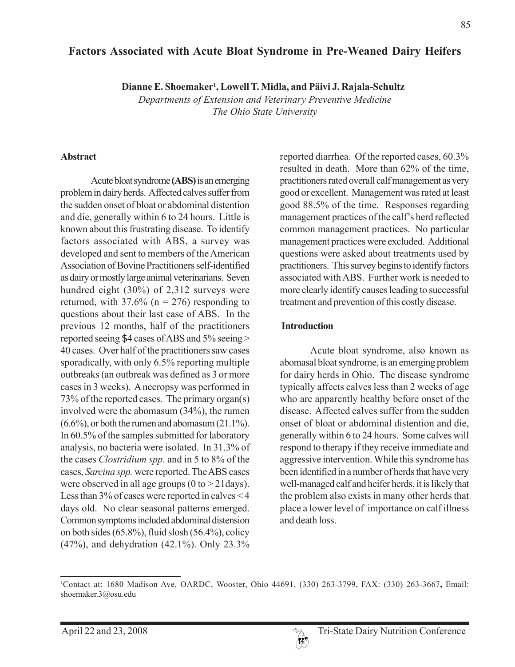## **Factors Associated with Acute Bloat Syndrome in Pre-Weaned Dairy Heifers**

**Dianne E. Shoemaker1 , Lowell T. Midla, and Päivi J. Rajala-Schultz**

*Departments of Extension and Veterinary Preventive Medicine The Ohio State University*

#### **Abstract**

Acute bloat syndrome **(ABS)** is an emerging problem in dairy herds. Affected calves suffer from the sudden onset of bloat or abdominal distention and die, generally within 6 to 24 hours. Little is known about this frustrating disease. To identify factors associated with ABS, a survey was developed and sent to members of the American Association of Bovine Practitioners self-identified as dairy or mostly large animal veterinarians. Seven hundred eight (30%) of 2,312 surveys were returned, with  $37.6\%$  (n = 276) responding to questions about their last case of ABS. In the previous 12 months, half of the practitioners reported seeing \$4 cases of ABS and 5% seeing > 40 cases. Over half of the practitioners saw cases sporadically, with only 6.5% reporting multiple outbreaks (an outbreak was defined as 3 or more cases in 3 weeks). A necropsy was performed in 73% of the reported cases. The primary organ(s) involved were the abomasum (34%), the rumen  $(6.6\%)$ , or both the rumen and abomasum  $(21.1\%)$ . In 60.5% of the samples submitted for laboratory analysis, no bacteria were isolated. In 31.3% of the cases *Clostridium spp.* and in 5 to 8% of the cases, *Sarcina spp.* were reported. The ABS cases were observed in all age groups  $(0 to > 21 \text{days})$ . Less than 3% of cases were reported in calves < 4 days old. No clear seasonal patterns emerged. Common symptoms included abdominal distension on both sides (65.8%), fluid slosh (56.4%), colicy (47%), and dehydration (42.1%). Only 23.3%

reported diarrhea. Of the reported cases, 60.3% resulted in death. More than 62% of the time, practitioners rated overall calf management as very good or excellent. Management was rated at least good 88.5% of the time. Responses regarding management practices of the calf's herd reflected common management practices. No particular management practices were excluded. Additional questions were asked about treatments used by practitioners. This survey begins to identify factors associated with ABS. Further work is needed to more clearly identify causes leading to successful treatment and prevention of this costly disease.

### **Introduction**

Acute bloat syndrome, also known as abomasal bloat syndrome, is an emerging problem for dairy herds in Ohio. The disease syndrome typically affects calves less than 2 weeks of age who are apparently healthy before onset of the disease. Affected calves suffer from the sudden onset of bloat or abdominal distention and die, generally within 6 to 24 hours. Some calves will respond to therapy if they receive immediate and aggressive intervention. While this syndrome has been identified in a number of herds that have very well-managed calf and heifer herds, it is likely that the problem also exists in many other herds that place a lower level of importance on calf illness and death loss.



<sup>1</sup> Contact at: 1680 Madison Ave, OARDC, Wooster, Ohio 44691, (330) 263-3799, FAX: (330) 263-3667**,** Email: shoemaker.3@osu.edu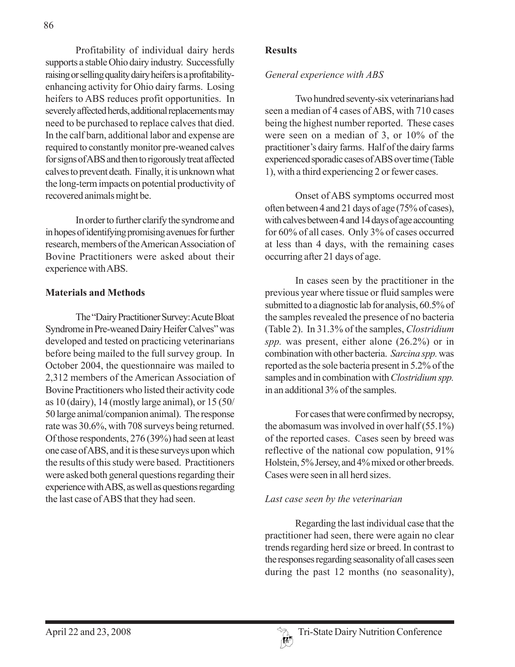Profitability of individual dairy herds supports a stable Ohio dairy industry. Successfully raising or selling quality dairy heifers is a profitabilityenhancing activity for Ohio dairy farms. Losing heifers to ABS reduces profit opportunities. In severely affected herds, additional replacements may need to be purchased to replace calves that died. In the calf barn, additional labor and expense are required to constantly monitor pre-weaned calves for signs of ABS and then to rigorously treat affected calves to prevent death. Finally, it is unknown what the long-term impacts on potential productivity of recovered animals might be.

In order to further clarify the syndrome and in hopes of identifying promising avenues for further research, members of the American Association of Bovine Practitioners were asked about their experience with ABS.

## **Materials and Methods**

The "Dairy Practitioner Survey: Acute Bloat Syndrome in Pre-weaned Dairy Heifer Calves" was developed and tested on practicing veterinarians before being mailed to the full survey group. In October 2004, the questionnaire was mailed to 2,312 members of the American Association of Bovine Practitioners who listed their activity code as 10 (dairy), 14 (mostly large animal), or 15 (50/ 50 large animal/companion animal). The response rate was 30.6%, with 708 surveys being returned. Of those respondents, 276 (39%) had seen at least one case of ABS, and it is these surveys upon which the results of this study were based. Practitioners were asked both general questions regarding their experience with ABS, as well as questions regarding the last case of ABS that they had seen.

### **Results**

### *General experience with ABS*

Two hundred seventy-six veterinarians had seen a median of 4 cases of ABS, with 710 cases being the highest number reported. These cases were seen on a median of 3, or 10% of the practitioner's dairy farms. Half of the dairy farms experienced sporadic cases of ABS over time (Table 1), with a third experiencing 2 or fewer cases.

Onset of ABS symptoms occurred most often between 4 and 21 days of age (75% of cases), with calves between 4 and 14 days of age accounting for 60% of all cases. Only 3% of cases occurred at less than 4 days, with the remaining cases occurring after 21 days of age.

In cases seen by the practitioner in the previous year where tissue or fluid samples were submitted to a diagnostic lab for analysis, 60.5% of the samples revealed the presence of no bacteria (Table 2). In 31.3% of the samples, *Clostridium spp.* was present, either alone (26.2%) or in combination with other bacteria. *Sarcina spp.* was reported as the sole bacteria present in 5.2% of the samples and in combination with *Clostridium spp.* in an additional 3% of the samples.

For cases that were confirmed by necropsy, the abomasum was involved in over half (55.1%) of the reported cases. Cases seen by breed was reflective of the national cow population, 91% Holstein, 5% Jersey, and 4% mixed or other breeds. Cases were seen in all herd sizes.

### *Last case seen by the veterinarian*

Regarding the last individual case that the practitioner had seen, there were again no clear trends regarding herd size or breed. In contrast to the responses regarding seasonality of all cases seen during the past 12 months (no seasonality),

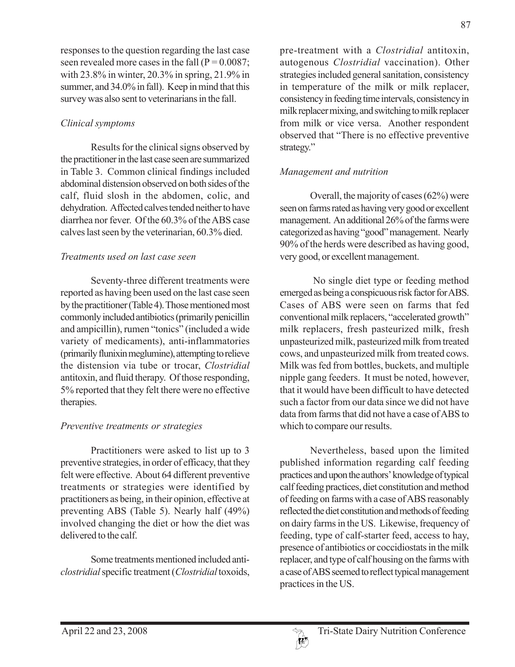responses to the question regarding the last case seen revealed more cases in the fall  $(P = 0.0087)$ ; with 23.8% in winter, 20.3% in spring, 21.9% in summer, and 34.0% in fall). Keep in mind that this survey was also sent to veterinarians in the fall.

# *Clinical symptoms*

Results for the clinical signs observed by the practitioner in the last case seen are summarized in Table 3. Common clinical findings included abdominal distension observed on both sides of the calf, fluid slosh in the abdomen, colic, and dehydration. Affected calves tended neither to have diarrhea nor fever. Of the 60.3% of the ABS case calves last seen by the veterinarian, 60.3% died.

# *Treatments used on last case seen*

Seventy-three different treatments were reported as having been used on the last case seen by the practitioner (Table 4). Those mentioned most commonly included antibiotics (primarily penicillin and ampicillin), rumen "tonics" (included a wide variety of medicaments), anti-inflammatories (primarily flunixin meglumine), attempting to relieve the distension via tube or trocar, *Clostridial* antitoxin, and fluid therapy. Of those responding, 5% reported that they felt there were no effective therapies.

# *Preventive treatments or strategies*

Practitioners were asked to list up to 3 preventive strategies, in order of efficacy, that they felt were effective. About 64 different preventive treatments or strategies were identified by practitioners as being, in their opinion, effective at preventing ABS (Table 5). Nearly half (49%) involved changing the diet or how the diet was delivered to the calf.

Some treatments mentioned included anti*clostridial* specific treatment (*Clostridial* toxoids, pre-treatment with a *Clostridial* antitoxin, autogenous *Clostridial* vaccination). Other strategies included general sanitation, consistency in temperature of the milk or milk replacer, consistency in feeding time intervals, consistency in milk replacer mixing, and switching to milk replacer from milk or vice versa. Another respondent observed that "There is no effective preventive strategy."

# *Management and nutrition*

Overall, the majority of cases (62%) were seen on farms rated as having very good or excellent management. An additional 26% of the farms were categorized as having "good" management. Nearly 90% of the herds were described as having good, very good, or excellent management.

 No single diet type or feeding method emerged as being a conspicuous risk factor for ABS. Cases of ABS were seen on farms that fed conventional milk replacers, "accelerated growth" milk replacers, fresh pasteurized milk, fresh unpasteurized milk, pasteurized milk from treated cows, and unpasteurized milk from treated cows. Milk was fed from bottles, buckets, and multiple nipple gang feeders. It must be noted, however, that it would have been difficult to have detected such a factor from our data since we did not have data from farms that did not have a case of ABS to which to compare our results.

Nevertheless, based upon the limited published information regarding calf feeding practices and upon the authors' knowledge of typical calf feeding practices, diet constitution and method of feeding on farms with a case of ABS reasonably reflected the diet constitution and methods of feeding on dairy farms in the US. Likewise, frequency of feeding, type of calf-starter feed, access to hay, presence of antibiotics or coccidiostats in the milk replacer, and type of calf housing on the farms with a case of ABS seemed to reflect typical management practices in the US.

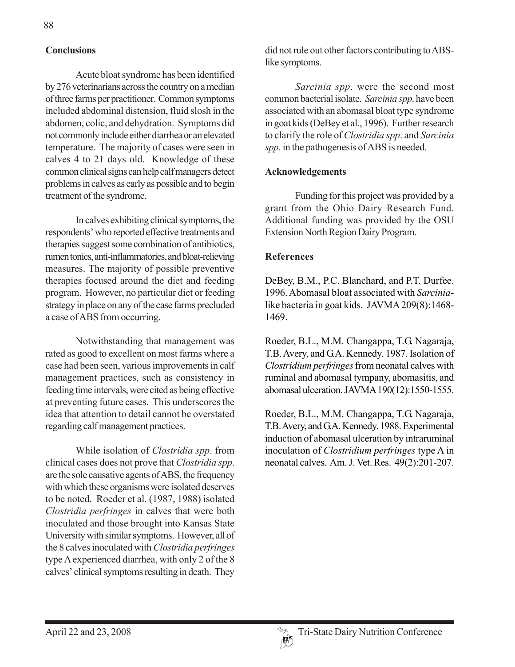## **Conclusions**

Acute bloat syndrome has been identified by 276 veterinarians across the country on a median of three farms per practitioner. Common symptoms included abdominal distension, fluid slosh in the abdomen, colic, and dehydration. Symptoms did not commonly include either diarrhea or an elevated temperature. The majority of cases were seen in calves 4 to 21 days old. Knowledge of these common clinical signs can help calf managers detect problems in calves as early as possible and to begin treatment of the syndrome.

In calves exhibiting clinical symptoms, the respondents' who reported effective treatments and therapies suggest some combination of antibiotics, rumen tonics, anti-inflammatories, and bloat-relieving measures. The majority of possible preventive therapies focused around the diet and feeding program. However, no particular diet or feeding strategy in place on any of the case farms precluded a case of ABS from occurring.

Notwithstanding that management was rated as good to excellent on most farms where a case had been seen, various improvements in calf management practices, such as consistency in feeding time intervals, were cited as being effective at preventing future cases. This underscores the idea that attention to detail cannot be overstated regarding calf management practices.

While isolation of *Clostridia spp*. from clinical cases does not prove that *Clostridia spp*. are the sole causative agents of ABS, the frequency with which these organisms were isolated deserves to be noted. Roeder et al. (1987, 1988) isolated *Clostridia perfringes* in calves that were both inoculated and those brought into Kansas State University with similar symptoms. However, all of the 8 calves inoculated with *Clostridia perfringes* type A experienced diarrhea, with only 2 of the 8 calves' clinical symptoms resulting in death. They

did not rule out other factors contributing to ABSlike symptoms.

*Sarcinia spp*. were the second most common bacterial isolate. *Sarcinia spp*. have been associated with an abomasal bloat type syndrome in goat kids (DeBey et al., 1996). Further research to clarify the role of *Clostridia spp*. and *Sarcinia spp*. in the pathogenesis of ABS is needed.

## **Acknowledgements**

Funding for this project was provided by a grant from the Ohio Dairy Research Fund. Additional funding was provided by the OSU Extension North Region Dairy Program.

### **References**

DeBey, B.M., P.C. Blanchard, and P.T. Durfee. 1996. Abomasal bloat associated with *Sarcinia*like bacteria in goat kids. JAVMA 209(8):1468- 1469.

Roeder, B.L., M.M. Changappa, T.G. Nagaraja, T.B. Avery, and G.A. Kennedy. 1987. Isolation of *Clostridium perfringes* from neonatal calves with ruminal and abomasal tympany, abomasitis, and abomasal ulceration. JAVMA 190(12):1550-1555.

Roeder, B.L., M.M. Changappa, T.G. Nagaraja, T.B. Avery, and G.A. Kennedy. 1988. Experimental induction of abomasal ulceration by intraruminal inoculation of *Clostridium perfringes* type A in neonatal calves. Am. J. Vet. Res. 49(2):201-207.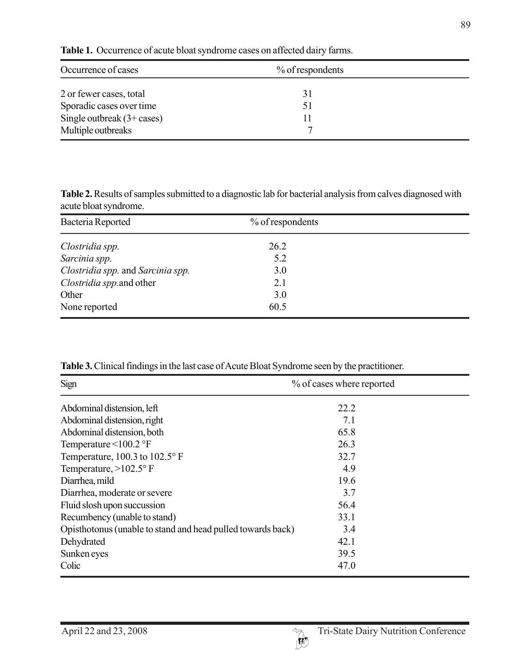| Occurrence of cases                  | $\%$ of respondents |  |  |
|--------------------------------------|---------------------|--|--|
| 2 or fewer cases, total              | 31                  |  |  |
| Sporadic cases over time             |                     |  |  |
| Single outbreak $(3 + \text{cases})$ |                     |  |  |
| Multiple outbreaks                   |                     |  |  |

**Table 1.** Occurrence of acute bloat syndrome cases on affected dairy farms.

**Table 2.** Results of samples submitted to a diagnostic lab for bacterial analysis from calves diagnosed with acute bloat syndrome.

| Bacteria Reported                 | % of respondents |  |
|-----------------------------------|------------------|--|
| Clostridia spp.                   | 26.2             |  |
| Sarcinia spp.                     | 5.2              |  |
| Clostridia spp. and Sarcinia spp. | 3.0              |  |
| Clostridia spp. and other         | 2.1              |  |
| Other                             | 3.0              |  |
| None reported                     | 60.5             |  |

**Table 3.** Clinical findings in the last case of Acute Bloat Syndrome seen by the practitioner.

| Sign                                                        | % of cases where reported |  |
|-------------------------------------------------------------|---------------------------|--|
| Abdominal distension, left                                  | 22.2                      |  |
| Abdominal distension, right                                 | 7.1                       |  |
| Abdominal distension, both                                  | 65.8                      |  |
| Temperature $\leq 100.2$ °F                                 | 26.3                      |  |
| Temperature, $100.3$ to $102.5^{\circ}$ F                   | 32.7                      |  |
| Temperature, $>102.5^{\circ}$ F                             | 4.9                       |  |
| Diarrhea, mild                                              | 19.6                      |  |
| Diarrhea, moderate or severe                                | 3.7                       |  |
| Fluid slosh upon succussion                                 | 56.4                      |  |
| Recumbency (unable to stand)                                | 33.1                      |  |
| Opisthotonus (unable to stand and head pulled towards back) | 3.4                       |  |
| Dehydrated                                                  | 42.1                      |  |
| Sunken eyes                                                 | 39.5                      |  |
| Colic                                                       | 47.0                      |  |